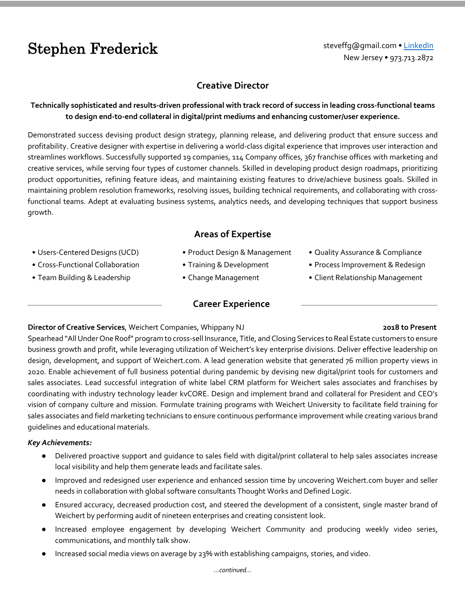# Stephen Frederick steveffg@gmail.com • [LinkedIn](https://www.linkedin.com/in/stfrederick/)

New Jersey • 973.713.2872

# **Creative Director**

### **Technically sophisticated and results-driven professional with track record of success in leading cross-functional teams to design end-to-end collateral in digital/print mediums and enhancing customer/user experience.**

Demonstrated success devising product design strategy, planning release, and delivering product that ensure success and profitability. Creative designer with expertise in delivering a world-class digital experience that improves user interaction and streamlines workflows. Successfully supported 19 companies, 114 Company offices, 367 franchise offices with marketing and creative services, while serving four types of customer channels. Skilled in developing product design roadmaps, prioritizing product opportunities, refining feature ideas, and maintaining existing features to drive/achieve business goals. Skilled in maintaining problem resolution frameworks, resolving issues, building technical requirements, and collaborating with crossfunctional teams. Adept at evaluating business systems, analytics needs, and developing techniques that support business growth.

# **Areas of Expertise**

- Users-Centered Designs (UCD)
- Cross-Functional Collaboration
- Team Building & Leadership
- Product Design & Management
- Training & Development
- Change Management

### **Career Experience**

### **Director of Creative Services**, Weichert Companies, Whippany NJ **2018 to Present**

#### • Quality Assurance & Compliance • Process Improvement & Redesign

• Client Relationship Management

Spearhead "All Under One Roof" program to cross-sell Insurance, Title, and Closing Services to Real Estate customers to ensure business growth and profit, while leveraging utilization of Weichert's key enterprise divisions. Deliver effective leadership on design, development, and support of Weichert.com. A lead generation website that generated 76 million property views in 2020. Enable achievement of full business potential during pandemic by devising new digital/print tools for customers and sales associates. Lead successful integration of white label CRM platform for Weichert sales associates and franchises by coordinating with industry technology leader kvCORE. Design and implement brand and collateral for President and CEO's vision of company culture and mission. Formulate training programs with Weichert University to facilitate field training for sales associates and field marketing technicians to ensure continuous performance improvement while creating various brand guidelines and educational materials.

### *Key Achievements:*

- Delivered proactive support and guidance to sales field with digital/print collateral to help sales associates increase local visibility and help them generate leads and facilitate sales.
- Improved and redesigned user experience and enhanced session time by uncovering Weichert.com buyer and seller needs in collaboration with global software consultants Thought Works and Defined Logic.
- Ensured accuracy, decreased production cost, and steered the development of a consistent, single master brand of Weichert by performing audit of nineteen enterprises and creating consistent look.
- Increased employee engagement by developing Weichert Community and producing weekly video series, communications, and monthly talk show.
- Increased social media views on average by 23% with establishing campaigns, stories, and video.